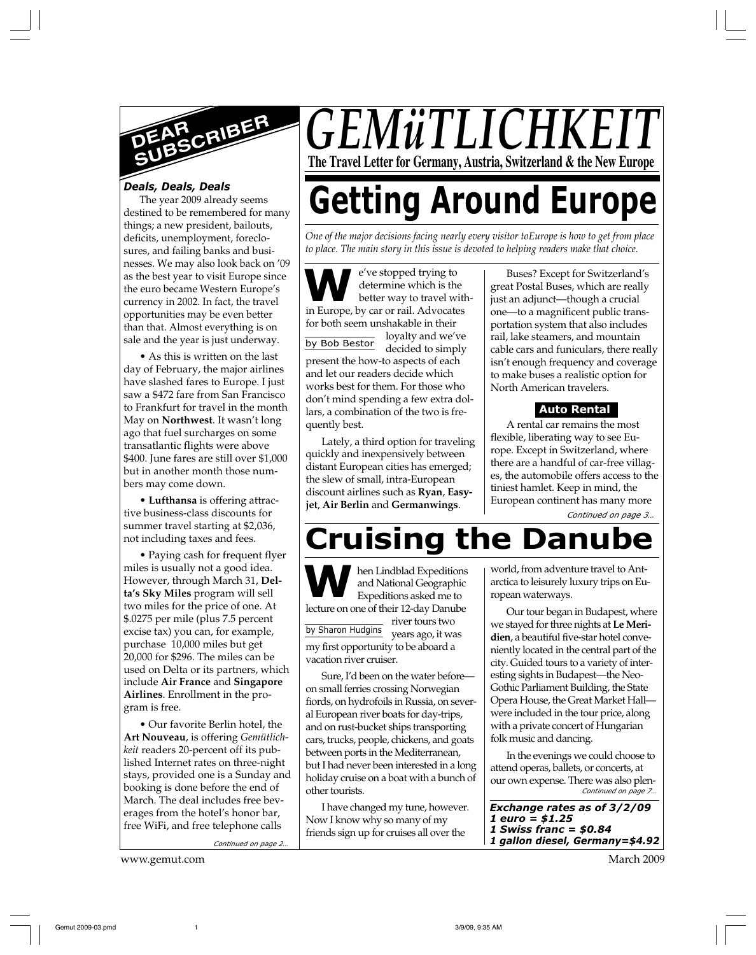

### *Deals, Deals, Deals*

The year 2009 already seems destined to be remembered for many things; a new president, bailouts, deficits, unemployment, foreclosures, and failing banks and businesses. We may also look back on '09 as the best year to visit Europe since the euro became Western Europe's currency in 2002. In fact, the travel opportunities may be even better than that. Almost everything is on sale and the year is just underway.

• As this is written on the last day of February, the major airlines have slashed fares to Europe. I just saw a \$472 fare from San Francisco to Frankfurt for travel in the month May on **Northwest**. It wasn't long ago that fuel surcharges on some transatlantic flights were above \$400. June fares are still over \$1,000 but in another month those numbers may come down.

• **Lufthansa** is offering attractive business-class discounts for summer travel starting at \$2,036, not including taxes and fees.

• Paying cash for frequent flyer miles is usually not a good idea. However, through March 31, **Delta's Sky Miles** program will sell two miles for the price of one. At \$.0275 per mile (plus 7.5 percent excise tax) you can, for example, purchase 10,000 miles but get 20,000 for \$296. The miles can be used on Delta or its partners, which include **Air France** and **Singapore Airlines**. Enrollment in the program is free.

• Our favorite Berlin hotel, the **Art Nouveau**, is offering *Gemütlichkeit* readers 20-percent off its published Internet rates on three-night stays, provided one is a Sunday and booking is done before the end of March. The deal includes free beverages from the hotel's honor bar, free WiFi, and free telephone calls

*Continued on page 2…*

www.gemut.com March 2009

## *GEMüTLICHKI* **The Travel Letter for Germany, Austria, Switzerland & the New Europe**

# **Getting Around Europe**

*One of the major decisions facing nearly every visitor toEurope is how to get from place to place. The main story in this issue is devoted to helping readers make that choice.*

**W**e've stopped trying to
determine which is the
better way to travel with
in Europe, by car or rail. Advocates e've stopped trying to determine which is the better way to travel withfor both seem unshakable in their loyalty and we've

by Bob Bestor decided to simply present the how-to aspects of each and let our readers decide which works best for them. For those who don't mind spending a few extra dollars, a combination of the two is frequently best.

Lately, a third option for traveling quickly and inexpensively between distant European cities has emerged; the slew of small, intra-European discount airlines such as **Ryan**, **Easyjet**, **Air Berlin** and **Germanwings**.

Buses? Except for Switzerland's great Postal Buses, which are really just an adjunct—though a crucial one—to a magnificent public transportation system that also includes rail, lake steamers, and mountain cable cars and funiculars, there really isn't enough frequency and coverage to make buses a realistic option for North American travelers.

## **Auto Rental**

A rental car remains the most flexible, liberating way to see Europe. Except in Switzerland, where there are a handful of car-free villages, the automobile offers access to the tiniest hamlet. Keep in mind, the European continent has many more

*Continued on page 3…*

## **Cruising the Danı**

**W** by Sharon Hudgins hen Lindblad Expeditions and National Geographic Expeditions asked me to lecture on one of their 12-day Danube river tours two years ago, it was my first opportunity to be aboard a vacation river cruiser.

Sure, I'd been on the water before on small ferries crossing Norwegian fiords, on hydrofoils in Russia, on several European river boats for day-trips, and on rust-bucket ships transporting cars, trucks, people, chickens, and goats between ports in the Mediterranean, but I had never been interested in a long holiday cruise on a boat with a bunch of other tourists.

I have changed my tune, however. Now I know why so many of my friends sign up for cruises all over the

world, from adventure travel to Antarctica to leisurely luxury trips on European waterways.

Our tour began in Budapest, where we stayed for three nights at **Le Meridien**, a beautiful five-star hotel conveniently located in the central part of the city. Guided tours to a variety of interesting sights in Budapest—the Neo-Gothic Parliament Building, the State Opera House, the Great Market Hall were included in the tour price, along with a private concert of Hungarian folk music and dancing.

*Continued on page 7…* In the evenings we could choose to attend operas, ballets, or concerts, at our own expense. There was also plen-

*Exchange rates as of 3/2/09 1 euro = \$1.25 1 Swiss franc = \$0.84 1 gallon diesel, Germany=\$4.92*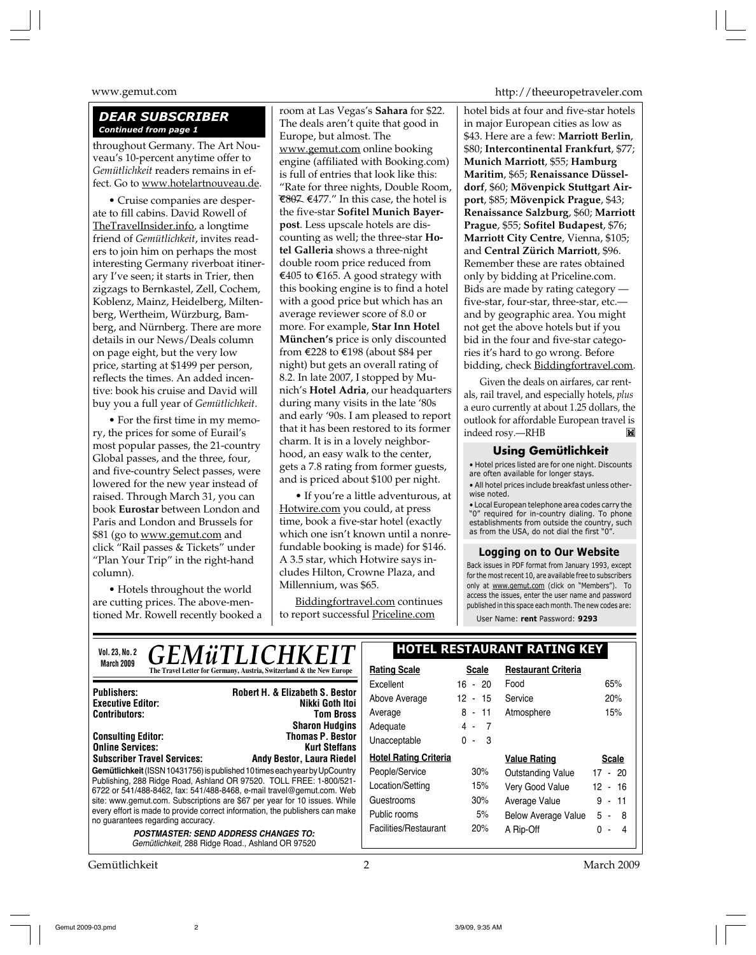## *DEAR SUBSCRIBER Continued from page 1*

throughout Germany. The Art Nouveau's 10-percent anytime offer to *Gemütlichkeit* readers remains in effect. Go to www.hotelartnouveau.de.

• Cruise companies are desperate to fill cabins. David Rowell of TheTravelInsider.info, a longtime friend of *Gemütlichkeit*, invites readers to join him on perhaps the most interesting Germany riverboat itinerary I've seen; it starts in Trier, then zigzags to Bernkastel, Zell, Cochem, Koblenz, Mainz, Heidelberg, Miltenberg, Wertheim, Würzburg, Bamberg, and Nürnberg. There are more details in our News/Deals column on page eight, but the very low price, starting at \$1499 per person, reflects the times. An added incentive: book his cruise and David will buy you a full year of *Gemütlichkeit*.

• For the first time in my memory, the prices for some of Eurail's most popular passes, the 21-country Global passes, and the three, four, and five-country Select passes, were lowered for the new year instead of raised. Through March 31, you can book **Eurostar** between London and Paris and London and Brussels for \$81 (go to www.gemut.com and click "Rail passes & Tickets" under "Plan Your Trip" in the right-hand column).

• Hotels throughout the world are cutting prices. The above-mentioned Mr. Rowell recently booked a room at Las Vegas's **Sahara** for \$22. The deals aren't quite that good in Europe, but almost. The www.gemut.com online booking engine (affiliated with Booking.com) is full of entries that look like this: "Rate for three nights, Double Room,  $€807$  €477." In this case, the hotel is the five-star **Sofitel Munich Bayerpost**. Less upscale hotels are discounting as well; the three-star **Hotel Galleria** shows a three-night double room price reduced from €405 to €165. A good strategy with this booking engine is to find a hotel with a good price but which has an average reviewer score of 8.0 or more. For example, **Star Inn Hotel München's** price is only discounted from E228 to E198 (about \$84 per night) but gets an overall rating of 8.2. In late 2007, I stopped by Munich's **Hotel Adria**, our headquarters during many visits in the late '80s and early '90s. I am pleased to report that it has been restored to its former charm. It is in a lovely neighborhood, an easy walk to the center, gets a 7.8 rating from former guests, and is priced about \$100 per night.

• If you're a little adventurous, at Hotwire.com you could, at press time, book a five-star hotel (exactly which one isn't known until a nonrefundable booking is made) for \$146. A 3.5 star, which Hotwire says includes Hilton, Crowne Plaza, and Millennium, was \$65.

Biddingfortravel.com continues to report successful Priceline.com

www.gemut.com http://theeuropetraveler.com

hotel bids at four and five-star hotels in major European cities as low as \$43. Here are a few: **Marriott Berlin**, \$80; **Intercontinental Frankfurt**, \$77; **Munich Marriott**, \$55; **Hamburg Maritim**, \$65; **Renaissance Düsseldorf**, \$60; **Mövenpick Stuttgart Airport**, \$85; **Mövenpick Prague**, \$43; **Renaissance Salzburg**, \$60; **Marriott Prague**, \$55; **Sofitel Budapest**, \$76; **Marriott City Centre**, Vienna, \$105; and **Central Zürich Marriott**, \$96. Remember these are rates obtained only by bidding at Priceline.com. Bids are made by rating category five-star, four-star, three-star, etc. and by geographic area. You might not get the above hotels but if you bid in the four and five-star categories it's hard to go wrong. Before bidding, check Biddingfortravel.com.

Given the deals on airfares, car rentals, rail travel, and especially hotels, *plus* a euro currently at about 1.25 dollars, the outlook for affordable European travel is indeed rosy.—RHB

#### **Using Gemütlichkeit**

• Hotel prices listed are for one night. Discounts are often available for longer stays. • All hotel prices include breakfast unless other-

wise noted.

• Local European telephone area codes carry the "0" required for in-country dialing. To phone establishments from outside the country, such as from the USA, do not dial the first "0".

#### **Logging on to Our Website**

Back issues in PDF format from January 1993, except for the most recent 10, are available free to subscribers only at www.gemut.com (click on "Members"). To access the issues, enter the user name and password published in this space each month. The new codes are:

User Name: **rent** Password: **9293**

| <b>GEMÜTLICHKEIT</b><br><b>Vol. 23, No. 2</b>                                                                                                        | <b>HOTEL RESTAURANT RATING KEY</b> |              |                            |              |
|------------------------------------------------------------------------------------------------------------------------------------------------------|------------------------------------|--------------|----------------------------|--------------|
| March 2009<br>The Travel Letter for Germany, Austria, Switzerland & the New Europe                                                                   | <b>Rating Scale</b>                | <b>Scale</b> | <b>Restaurant Criteria</b> |              |
| <b>Robert H. &amp; Elizabeth S. Bestor</b><br><b>Publishers:</b><br>Nikki Goth Itoi<br><b>Executive Editor:</b><br><b>Contributors:</b><br>Tom Bross | Excellent                          | $16 - 20$    | Food                       | 65%          |
|                                                                                                                                                      | Above Average                      | 12 - 15      | Service                    | 20%          |
|                                                                                                                                                      | Average                            | $8 - 11$     | Atmosphere                 | 15%          |
| <b>Sharon Hudgins</b>                                                                                                                                | Adequate                           | - 7<br>4 -   |                            |              |
| <b>Thomas P. Bestor</b><br><b>Consulting Editor:</b><br><b>Online Services:</b><br><b>Kurt Steffans</b>                                              | Unacceptable                       | $0 - 3$      |                            |              |
| <b>Subscriber Travel Services:</b><br><b>Andy Bestor, Laura Riedel</b>                                                                               | <b>Hotel Rating Criteria</b>       |              | <b>Value Rating</b>        | <b>Scale</b> |
| Gemütlichkeit (ISSN 10431756) is published 10 times each year by UpCountry                                                                           | People/Service                     | 30%          | Outstanding Value          | $17 - 20$    |
| Publishing, 288 Ridge Road, Ashland OR 97520. TOLL FREE: 1-800/521-<br>6722 or 541/488-8462, fax: 541/488-8468, e-mail travel@gemut.com. Web         | Location/Setting                   | 15%          | Very Good Value            | 12 - 16      |
| site: www.gemut.com. Subscriptions are \$67 per year for 10 issues. While                                                                            | Guestrooms                         | 30%          | Average Value              | $9 - 11$     |
| every effort is made to provide correct information, the publishers can make<br>no guarantees regarding accuracy.                                    | Public rooms                       | 5%           | <b>Below Average Value</b> | $5 -$<br>- 8 |
| <b>POSTMASTER: SEND ADDRESS CHANGES TO:</b>                                                                                                          | Facilities/Restaurant              | 20%          | A Rip-Off                  | 0 -<br>Δ     |
| Gemütlichkeit, 288 Ridge Road., Ashland OR 97520                                                                                                     |                                    |              |                            |              |

Gemütlichkeit 2 March 2009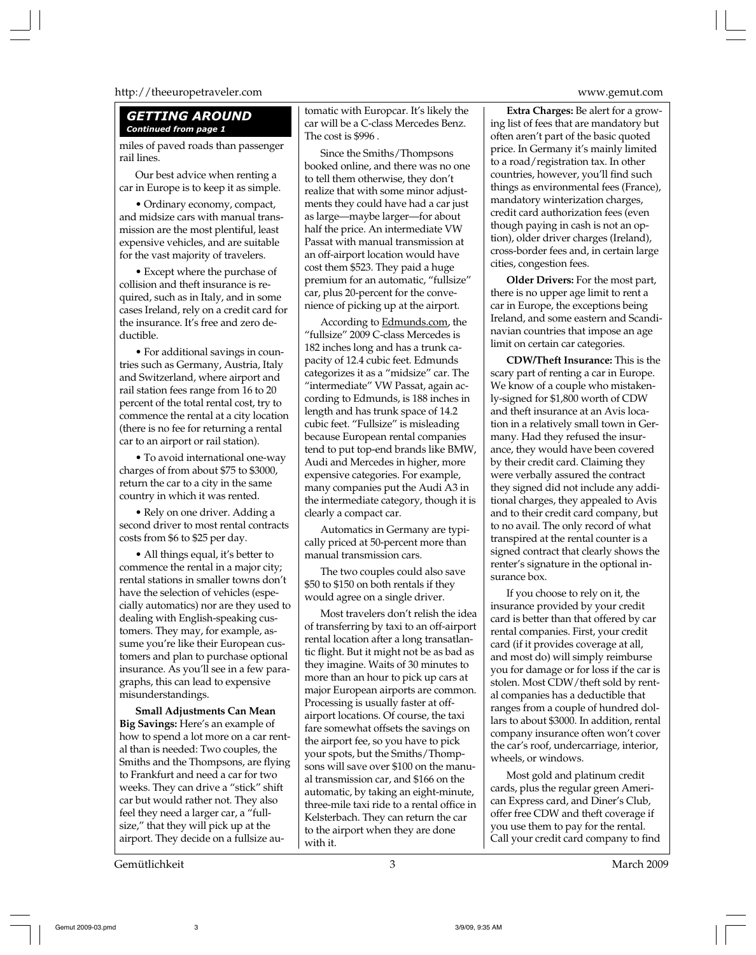#### http://theeuropetraveler.com www.gemut.com

#### *GETTING AROUND Continued from page 1*

miles of paved roads than passenger rail lines.

Our best advice when renting a car in Europe is to keep it as simple.

• Ordinary economy, compact, and midsize cars with manual transmission are the most plentiful, least expensive vehicles, and are suitable for the vast majority of travelers.

• Except where the purchase of collision and theft insurance is required, such as in Italy, and in some cases Ireland, rely on a credit card for the insurance. It's free and zero deductible.

• For additional savings in countries such as Germany, Austria, Italy and Switzerland, where airport and rail station fees range from 16 to 20 percent of the total rental cost, try to commence the rental at a city location (there is no fee for returning a rental car to an airport or rail station).

• To avoid international one-way charges of from about \$75 to \$3000, return the car to a city in the same country in which it was rented.

• Rely on one driver. Adding a second driver to most rental contracts costs from \$6 to \$25 per day.

• All things equal, it's better to commence the rental in a major city; rental stations in smaller towns don't have the selection of vehicles (especially automatics) nor are they used to dealing with English-speaking customers. They may, for example, assume you're like their European customers and plan to purchase optional insurance. As you'll see in a few paragraphs, this can lead to expensive misunderstandings.

**Small Adjustments Can Mean Big Savings:** Here's an example of how to spend a lot more on a car rental than is needed: Two couples, the Smiths and the Thompsons, are flying to Frankfurt and need a car for two weeks. They can drive a "stick" shift car but would rather not. They also feel they need a larger car, a "fullsize," that they will pick up at the airport. They decide on a fullsize au-

tomatic with Europcar. It's likely the car will be a C-class Mercedes Benz. The cost is \$996 .

Since the Smiths/Thompsons booked online, and there was no one to tell them otherwise, they don't realize that with some minor adjustments they could have had a car just as large—maybe larger—for about half the price. An intermediate VW Passat with manual transmission at an off-airport location would have cost them \$523. They paid a huge premium for an automatic, "fullsize" car, plus 20-percent for the convenience of picking up at the airport.

According to Edmunds.com, the "fullsize" 2009 C-class Mercedes is 182 inches long and has a trunk capacity of 12.4 cubic feet. Edmunds categorizes it as a "midsize" car. The "intermediate" VW Passat, again according to Edmunds, is 188 inches in length and has trunk space of 14.2 cubic feet. "Fullsize" is misleading because European rental companies tend to put top-end brands like BMW, Audi and Mercedes in higher, more expensive categories. For example, many companies put the Audi A3 in the intermediate category, though it is clearly a compact car.

Automatics in Germany are typically priced at 50-percent more than manual transmission cars.

The two couples could also save \$50 to \$150 on both rentals if they would agree on a single driver.

Most travelers don't relish the idea of transferring by taxi to an off-airport rental location after a long transatlantic flight. But it might not be as bad as they imagine. Waits of 30 minutes to more than an hour to pick up cars at major European airports are common. Processing is usually faster at offairport locations. Of course, the taxi fare somewhat offsets the savings on the airport fee, so you have to pick your spots, but the Smiths/Thompsons will save over \$100 on the manual transmission car, and \$166 on the automatic, by taking an eight-minute, three-mile taxi ride to a rental office in Kelsterbach. They can return the car to the airport when they are done with it.

**Extra Charges:** Be alert for a growing list of fees that are mandatory but often aren't part of the basic quoted price. In Germany it's mainly limited to a road/registration tax. In other countries, however, you'll find such things as environmental fees (France), mandatory winterization charges, credit card authorization fees (even though paying in cash is not an option), older driver charges (Ireland), cross-border fees and, in certain large cities, congestion fees.

**Older Drivers:** For the most part, there is no upper age limit to rent a car in Europe, the exceptions being Ireland, and some eastern and Scandinavian countries that impose an age limit on certain car categories.

**CDW/Theft Insurance:** This is the scary part of renting a car in Europe. We know of a couple who mistakenly-signed for \$1,800 worth of CDW and theft insurance at an Avis location in a relatively small town in Germany. Had they refused the insurance, they would have been covered by their credit card. Claiming they were verbally assured the contract they signed did not include any additional charges, they appealed to Avis and to their credit card company, but to no avail. The only record of what transpired at the rental counter is a signed contract that clearly shows the renter's signature in the optional insurance box.

If you choose to rely on it, the insurance provided by your credit card is better than that offered by car rental companies. First, your credit card (if it provides coverage at all, and most do) will simply reimburse you for damage or for loss if the car is stolen. Most CDW/theft sold by rental companies has a deductible that ranges from a couple of hundred dollars to about \$3000. In addition, rental company insurance often won't cover the car's roof, undercarriage, interior, wheels, or windows.

Most gold and platinum credit cards, plus the regular green American Express card, and Diner's Club, offer free CDW and theft coverage if you use them to pay for the rental. Call your credit card company to find

Gemut 2009-03.pmd 3 3/9/09, 9:35 AM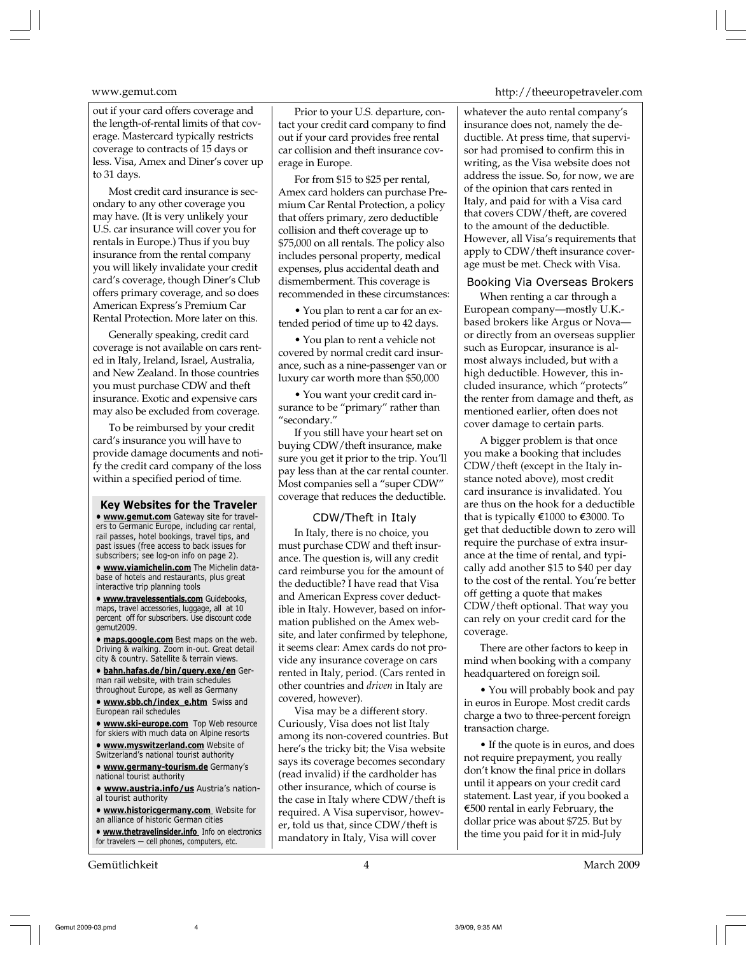out if your card offers coverage and the length-of-rental limits of that coverage. Mastercard typically restricts coverage to contracts of 15 days or less. Visa, Amex and Diner's cover up to 31 days.

Most credit card insurance is secondary to any other coverage you may have. (It is very unlikely your U.S. car insurance will cover you for rentals in Europe.) Thus if you buy insurance from the rental company you will likely invalidate your credit card's coverage, though Diner's Club offers primary coverage, and so does American Express's Premium Car Rental Protection. More later on this.

Generally speaking, credit card coverage is not available on cars rented in Italy, Ireland, Israel, Australia, and New Zealand. In those countries you must purchase CDW and theft insurance. Exotic and expensive cars may also be excluded from coverage.

To be reimbursed by your credit card's insurance you will have to provide damage documents and notify the credit card company of the loss within a specified period of time.

**Key Websites for the Traveler • www.gemut.com** Gateway site for travelers to Germanic Europe, including car rental, rail passes, hotel bookings, travel tips, and past issues (free access to back issues for subscribers; see log-on info on page 2).

**• www.viamichelin.com** The Michelin database of hotels and restaurants, plus great interactive trip planning tools

**• www.travelessentials.com** Guidebooks, maps, travel accessories, luggage, all at 10 percent off for subscribers. Use discount code gemut2009.

**• maps.google.com** Best maps on the web. Driving & walking. Zoom in-out. Great detail city & country. Satellite & terrain views.

**• bahn.hafas.de/bin/query.exe/en** German rail website, with train schedules throughout Europe, as well as Germany

**• www.sbb.ch/index\_e.htm** Swiss and European rail schedules

**• www.ski-europe.com** Top Web resource for skiers with much data on Alpine resorts

**• www.myswitzerland.com** Website of Switzerland's national tourist authority

**• www.germany-tourism.de** Germany's national tourist authority

**• www.austria.info/us** Austria's national tourist authority

**• www.historicgermany.com** Website for an alliance of historic German cities

**• www.thetravelinsider.info** Info on electronics for travelers — cell phones, computers, etc.

Gemütlichkeit 4 March 2009

Prior to your U.S. departure, contact your credit card company to find out if your card provides free rental car collision and theft insurance coverage in Europe.

For from \$15 to \$25 per rental, Amex card holders can purchase Premium Car Rental Protection, a policy that offers primary, zero deductible collision and theft coverage up to \$75,000 on all rentals. The policy also includes personal property, medical expenses, plus accidental death and dismemberment. This coverage is recommended in these circumstances:

• You plan to rent a car for an extended period of time up to 42 days.

• You plan to rent a vehicle not covered by normal credit card insurance, such as a nine-passenger van or luxury car worth more than \$50,000

• You want your credit card insurance to be "primary" rather than "secondary."

If you still have your heart set on buying CDW/theft insurance, make sure you get it prior to the trip. You'll pay less than at the car rental counter. Most companies sell a "super CDW" coverage that reduces the deductible.

### CDW/Theft in Italy

In Italy, there is no choice, you must purchase CDW and theft insurance. The question is, will any credit card reimburse you for the amount of the deductible? I have read that Visa and American Express cover deductible in Italy. However, based on information published on the Amex website, and later confirmed by telephone, it seems clear: Amex cards do not provide any insurance coverage on cars rented in Italy, period. (Cars rented in other countries and *driven* in Italy are covered, however).

Visa may be a different story. Curiously, Visa does not list Italy among its non-covered countries. But here's the tricky bit; the Visa website says its coverage becomes secondary (read invalid) if the cardholder has other insurance, which of course is the case in Italy where CDW/theft is required. A Visa supervisor, however, told us that, since CDW/theft is mandatory in Italy, Visa will cover

#### www.gemut.com http://theeuropetraveler.com

whatever the auto rental company's insurance does not, namely the deductible. At press time, that supervisor had promised to confirm this in writing, as the Visa website does not address the issue. So, for now, we are of the opinion that cars rented in Italy, and paid for with a Visa card that covers CDW/theft, are covered to the amount of the deductible. However, all Visa's requirements that apply to CDW/theft insurance coverage must be met. Check with Visa.

#### Booking Via Overseas Brokers

When renting a car through a European company—mostly U.K. based brokers like Argus or Nova or directly from an overseas supplier such as Europcar, insurance is almost always included, but with a high deductible. However, this included insurance, which "protects" the renter from damage and theft, as mentioned earlier, often does not cover damage to certain parts.

A bigger problem is that once you make a booking that includes CDW/theft (except in the Italy instance noted above), most credit card insurance is invalidated. You are thus on the hook for a deductible that is typically  $\epsilon$ 1000 to  $\epsilon$ 3000. To get that deductible down to zero will require the purchase of extra insurance at the time of rental, and typically add another \$15 to \$40 per day to the cost of the rental. You're better off getting a quote that makes CDW/theft optional. That way you can rely on your credit card for the coverage.

There are other factors to keep in mind when booking with a company headquartered on foreign soil.

• You will probably book and pay in euros in Europe. Most credit cards charge a two to three-percent foreign transaction charge.

• If the quote is in euros, and does not require prepayment, you really don't know the final price in dollars until it appears on your credit card statement. Last year, if you booked a  $E$ 500 rental in early February, the dollar price was about \$725. But by the time you paid for it in mid-July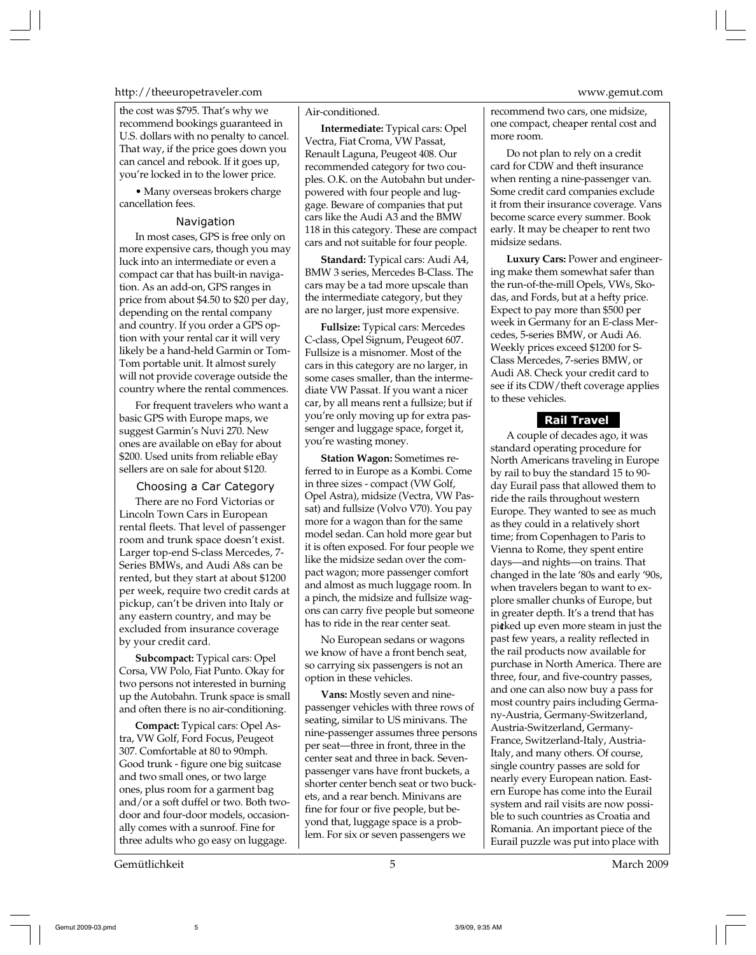#### http://theeuropetraveler.com www.gemut.com

the cost was \$795. That's why we recommend bookings guaranteed in U.S. dollars with no penalty to cancel. That way, if the price goes down you can cancel and rebook. If it goes up, you're locked in to the lower price.

• Many overseas brokers charge cancellation fees.

#### Navigation

In most cases, GPS is free only on more expensive cars, though you may luck into an intermediate or even a compact car that has built-in navigation. As an add-on, GPS ranges in price from about \$4.50 to \$20 per day, depending on the rental company and country. If you order a GPS option with your rental car it will very likely be a hand-held Garmin or Tom-Tom portable unit. It almost surely will not provide coverage outside the country where the rental commences.

For frequent travelers who want a basic GPS with Europe maps, we suggest Garmin's Nuvi 270. New ones are available on eBay for about \$200. Used units from reliable eBay sellers are on sale for about \$120.

#### Choosing a Car Category

There are no Ford Victorias or Lincoln Town Cars in European rental fleets. That level of passenger room and trunk space doesn't exist. Larger top-end S-class Mercedes, 7- Series BMWs, and Audi A8s can be rented, but they start at about \$1200 per week, require two credit cards at pickup, can't be driven into Italy or any eastern country, and may be excluded from insurance coverage by your credit card.

**Subcompact:** Typical cars: Opel Corsa, VW Polo, Fiat Punto. Okay for two persons not interested in burning up the Autobahn. Trunk space is small and often there is no air-conditioning.

**Compact:** Typical cars: Opel Astra, VW Golf, Ford Focus, Peugeot 307. Comfortable at 80 to 90mph. Good trunk - figure one big suitcase and two small ones, or two large ones, plus room for a garment bag and/or a soft duffel or two. Both twodoor and four-door models, occasionally comes with a sunroof. Fine for three adults who go easy on luggage.

Gemütlichkeit 5 March 2009

#### Air-conditioned.

**Intermediate:** Typical cars: Opel Vectra, Fiat Croma, VW Passat, Renault Laguna, Peugeot 408. Our recommended category for two couples. O.K. on the Autobahn but underpowered with four people and luggage. Beware of companies that put cars like the Audi A3 and the BMW 118 in this category. These are compact cars and not suitable for four people.

**Standard:** Typical cars: Audi A4, BMW 3 series, Mercedes B-Class. The cars may be a tad more upscale than the intermediate category, but they are no larger, just more expensive.

**Fullsize:** Typical cars: Mercedes C-class, Opel Signum, Peugeot 607. Fullsize is a misnomer. Most of the cars in this category are no larger, in some cases smaller, than the intermediate VW Passat. If you want a nicer car, by all means rent a fullsize; but if you're only moving up for extra passenger and luggage space, forget it, you're wasting money.

**Station Wagon:** Sometimes referred to in Europe as a Kombi. Come in three sizes - compact (VW Golf, Opel Astra), midsize (Vectra, VW Passat) and fullsize (Volvo V70). You pay more for a wagon than for the same model sedan. Can hold more gear but it is often exposed. For four people we like the midsize sedan over the compact wagon; more passenger comfort and almost as much luggage room. In a pinch, the midsize and fullsize wagons can carry five people but someone has to ride in the rear center seat.

No European sedans or wagons we know of have a front bench seat, so carrying six passengers is not an option in these vehicles.

**Vans:** Mostly seven and ninepassenger vehicles with three rows of seating, similar to US minivans. The nine-passenger assumes three persons per seat—three in front, three in the center seat and three in back. Sevenpassenger vans have front buckets, a shorter center bench seat or two buckets, and a rear bench. Minivans are fine for four or five people, but beyond that, luggage space is a problem. For six or seven passengers we

recommend two cars, one midsize, one compact, cheaper rental cost and more room.

Do not plan to rely on a credit card for CDW and theft insurance when renting a nine-passenger van. Some credit card companies exclude it from their insurance coverage. Vans become scarce every summer. Book early. It may be cheaper to rent two midsize sedans.

**Luxury Cars:** Power and engineering make them somewhat safer than the run-of-the-mill Opels, VWs, Skodas, and Fords, but at a hefty price. Expect to pay more than \$500 per week in Germany for an E-class Mercedes, 5-series BMW, or Audi A6. Weekly prices exceed \$1200 for S-Class Mercedes, 7-series BMW, or Audi A8. Check your credit card to see if its CDW/theft coverage applies to these vehicles.

#### **Rail Travel**

A couple of decades ago, it was standard operating procedure for North Americans traveling in Europe by rail to buy the standard 15 to 90 day Eurail pass that allowed them to ride the rails throughout western Europe. They wanted to see as much as they could in a relatively short time; from Copenhagen to Paris to Vienna to Rome, they spent entire days—and nights—on trains. That changed in the late '80s and early '90s, when travelers began to want to explore smaller chunks of Europe, but in greater depth. It's a trend that has picked up even more steam in just the past few years, a reality reflected in the rail products now available for purchase in North America. There are three, four, and five-country passes, and one can also now buy a pass for most country pairs including Germany-Austria, Germany-Switzerland, Austria-Switzerland, Germany-France, Switzerland-Italy, Austria-Italy, and many others. Of course, single country passes are sold for nearly every European nation. Eastern Europe has come into the Eurail system and rail visits are now possible to such countries as Croatia and Romania. An important piece of the Eurail puzzle was put into place with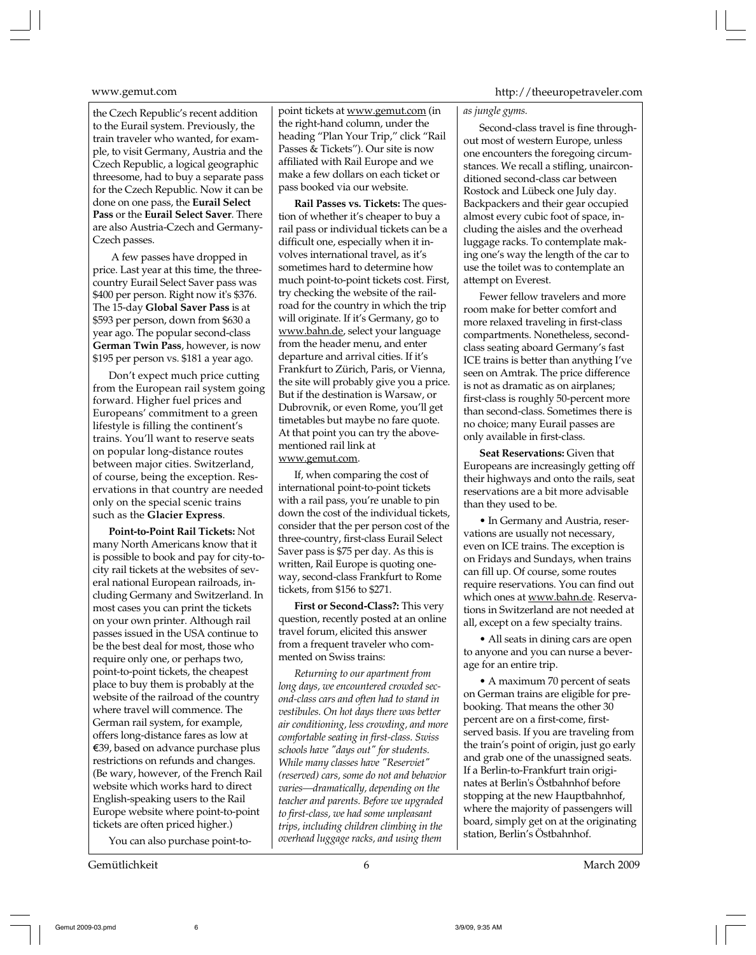the Czech Republic's recent addition to the Eurail system. Previously, the train traveler who wanted, for example, to visit Germany, Austria and the Czech Republic, a logical geographic threesome, had to buy a separate pass for the Czech Republic. Now it can be done on one pass, the **Eurail Select Pass** or the **Eurail Select Saver**. There are also Austria-Czech and Germany-Czech passes.

 A few passes have dropped in price. Last year at this time, the threecountry Eurail Select Saver pass was \$400 per person. Right now it's \$376. The 15-day **Global Saver Pass** is at \$593 per person, down from \$630 a year ago. The popular second-class **German Twin Pass**, however, is now \$195 per person vs. \$181 a year ago.

Don't expect much price cutting from the European rail system going forward. Higher fuel prices and Europeans' commitment to a green lifestyle is filling the continent's trains. You'll want to reserve seats on popular long-distance routes between major cities. Switzerland, of course, being the exception. Reservations in that country are needed only on the special scenic trains such as the **Glacier Express**.

**Point-to-Point Rail Tickets:** Not many North Americans know that it is possible to book and pay for city-tocity rail tickets at the websites of several national European railroads, including Germany and Switzerland. In most cases you can print the tickets on your own printer. Although rail passes issued in the USA continue to be the best deal for most, those who require only one, or perhaps two, point-to-point tickets, the cheapest place to buy them is probably at the website of the railroad of the country where travel will commence. The German rail system, for example, offers long-distance fares as low at  $€39$ , based on advance purchase plus restrictions on refunds and changes. (Be wary, however, of the French Rail website which works hard to direct English-speaking users to the Rail Europe website where point-to-point tickets are often priced higher.)

You can also purchase point-to-

Gemütlichkeit 6 March 2009

point tickets at www.gemut.com (in the right-hand column, under the heading "Plan Your Trip," click "Rail Passes & Tickets"). Our site is now affiliated with Rail Europe and we make a few dollars on each ticket or pass booked via our website.

**Rail Passes vs. Tickets:** The question of whether it's cheaper to buy a rail pass or individual tickets can be a difficult one, especially when it involves international travel, as it's sometimes hard to determine how much point-to-point tickets cost. First, try checking the website of the railroad for the country in which the trip will originate. If it's Germany, go to www.bahn.de, select your language from the header menu, and enter departure and arrival cities. If it's Frankfurt to Zürich, Paris, or Vienna, the site will probably give you a price. But if the destination is Warsaw, or Dubrovnik, or even Rome, you'll get timetables but maybe no fare quote. At that point you can try the abovementioned rail link at www.gemut.com.

If, when comparing the cost of international point-to-point tickets with a rail pass, you're unable to pin down the cost of the individual tickets, consider that the per person cost of the three-country, first-class Eurail Select Saver pass is \$75 per day. As this is written, Rail Europe is quoting oneway, second-class Frankfurt to Rome tickets, from \$156 to \$271.

**First or Second-Class?:** This very question, recently posted at an online travel forum, elicited this answer from a frequent traveler who commented on Swiss trains:

*Returning to our apartment from long days, we encountered crowded second-class cars and often had to stand in vestibules. On hot days there was better air conditioning, less crowding, and more comfortable seating in first-class. Swiss schools have "days out" for students. While many classes have "Reserviet" (reserved) cars, some do not and behavior varies—dramatically, depending on the teacher and parents. Before we upgraded to first-class, we had some unpleasant trips, including children climbing in the overhead luggage racks, and using them*

#### www.gemut.com http://theeuropetraveler.com

#### *as jungle gyms.*

Second-class travel is fine throughout most of western Europe, unless one encounters the foregoing circumstances. We recall a stifling, unairconditioned second-class car between Rostock and Lübeck one July day. Backpackers and their gear occupied almost every cubic foot of space, including the aisles and the overhead luggage racks. To contemplate making one's way the length of the car to use the toilet was to contemplate an attempt on Everest.

Fewer fellow travelers and more room make for better comfort and more relaxed traveling in first-class compartments. Nonetheless, secondclass seating aboard Germany's fast ICE trains is better than anything I've seen on Amtrak. The price difference is not as dramatic as on airplanes; first-class is roughly 50-percent more than second-class. Sometimes there is no choice; many Eurail passes are only available in first-class.

**Seat Reservations:** Given that Europeans are increasingly getting off their highways and onto the rails, seat reservations are a bit more advisable than they used to be.

• In Germany and Austria, reservations are usually not necessary, even on ICE trains. The exception is on Fridays and Sundays, when trains can fill up. Of course, some routes require reservations. You can find out which ones at www.bahn.de. Reservations in Switzerland are not needed at all, except on a few specialty trains.

• All seats in dining cars are open to anyone and you can nurse a beverage for an entire trip.

• A maximum 70 percent of seats on German trains are eligible for prebooking. That means the other 30 percent are on a first-come, firstserved basis. If you are traveling from the train's point of origin, just go early and grab one of the unassigned seats. If a Berlin-to-Frankfurt train originates at Berlin's Östbahnhof before stopping at the new Hauptbahnhof, where the majority of passengers will board, simply get on at the originating station, Berlin's Östbahnhof.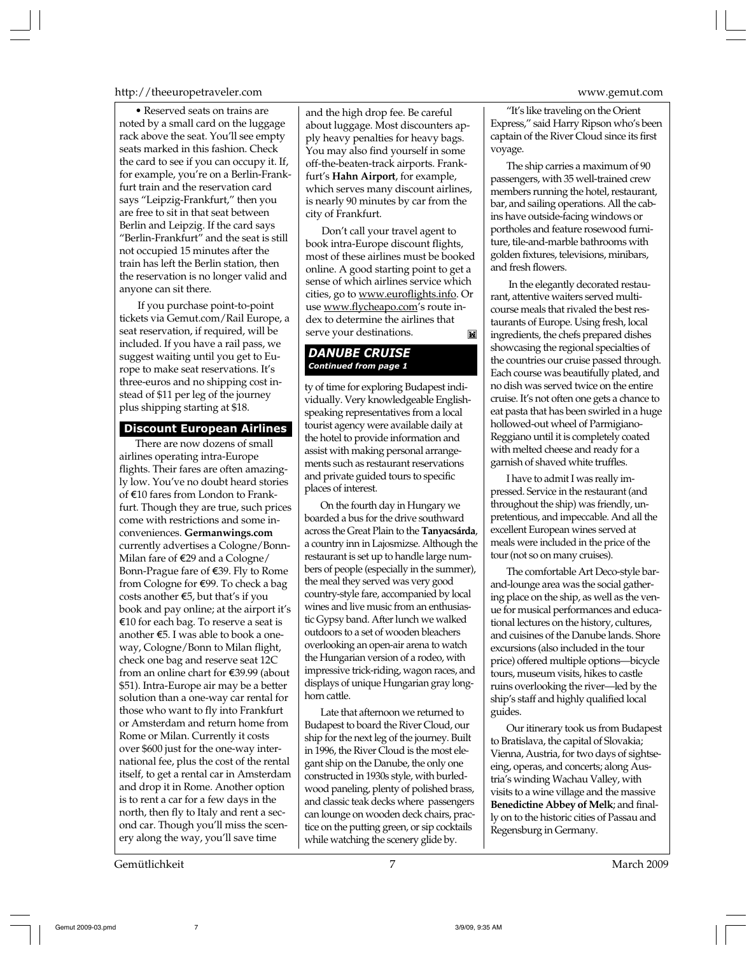#### http://theeuropetraveler.com www.gemut.com

• Reserved seats on trains are noted by a small card on the luggage rack above the seat. You'll see empty seats marked in this fashion. Check the card to see if you can occupy it. If, for example, you're on a Berlin-Frankfurt train and the reservation card says "Leipzig-Frankfurt," then you are free to sit in that seat between Berlin and Leipzig. If the card says "Berlin-Frankfurt" and the seat is still not occupied 15 minutes after the train has left the Berlin station, then the reservation is no longer valid and anyone can sit there.

 If you purchase point-to-point tickets via Gemut.com/Rail Europe, a seat reservation, if required, will be included. If you have a rail pass, we suggest waiting until you get to Europe to make seat reservations. It's three-euros and no shipping cost instead of \$11 per leg of the journey plus shipping starting at \$18.

#### **Discount European Airlines**

There are now dozens of small airlines operating intra-Europe flights. Their fares are often amazingly low. You've no doubt heard stories of e10 fares from London to Frankfurt. Though they are true, such prices come with restrictions and some inconveniences. **Germanwings.com** currently advertises a Cologne/Bonn-Milan fare of  $\epsilon$ 29 and a Cologne/ Bonn-Prague fare of €39. Fly to Rome from Cologne for €99. To check a bag costs another  $$5$ , but that's if you book and pay online; at the airport it's  $E10$  for each bag. To reserve a seat is another  $\epsilon$ 5. I was able to book a oneway, Cologne/Bonn to Milan flight, check one bag and reserve seat 12C from an online chart for  $\epsilon$ 39.99 (about \$51). Intra-Europe air may be a better solution than a one-way car rental for those who want to fly into Frankfurt or Amsterdam and return home from Rome or Milan. Currently it costs over \$600 just for the one-way international fee, plus the cost of the rental itself, to get a rental car in Amsterdam and drop it in Rome. Another option is to rent a car for a few days in the north, then fly to Italy and rent a second car. Though you'll miss the scenery along the way, you'll save time

and the high drop fee. Be careful about luggage. Most discounters apply heavy penalties for heavy bags. You may also find yourself in some off-the-beaten-track airports. Frankfurt's **Hahn Airport**, for example, which serves many discount airlines, is nearly 90 minutes by car from the city of Frankfurt.

Don't call your travel agent to book intra-Europe discount flights, most of these airlines must be booked online. A good starting point to get a sense of which airlines service which cities, go to www.euroflights.info. Or use www.flycheapo.com's route index to determine the airlines that serve your destinations. ĨX.

### *DANUBE CRUISE Continued from page 1*

ty of time for exploring Budapest individually. Very knowledgeable Englishspeaking representatives from a local tourist agency were available daily at the hotel to provide information and assist with making personal arrangements such as restaurant reservations and private guided tours to specific places of interest.

On the fourth day in Hungary we boarded a bus for the drive southward across the Great Plain to the **Tanyacsárda**, a country inn in Lajosmizse. Although the restaurant is set up to handle large numbers of people (especially in the summer), the meal they served was very good country-style fare, accompanied by local wines and live music from an enthusiastic Gypsy band. After lunch we walked outdoors to a set of wooden bleachers overlooking an open-air arena to watch the Hungarian version of a rodeo, with impressive trick-riding, wagon races, and displays of unique Hungarian gray longhorn cattle.

Late that afternoon we returned to Budapest to board the River Cloud, our ship for the next leg of the journey. Built in 1996, the River Cloud is the most elegant ship on the Danube, the only one constructed in 1930s style, with burledwood paneling, plenty of polished brass, and classic teak decks where passengers can lounge on wooden deck chairs, practice on the putting green, or sip cocktails while watching the scenery glide by.

"It's like traveling on the Orient Express," said Harry Ripson who's been captain of the River Cloud since its first

The ship carries a maximum of 90 passengers, with 35 well-trained crew members running the hotel, restaurant, bar, and sailing operations. All the cabins have outside-facing windows or portholes and feature rosewood furniture, tile-and-marble bathrooms with golden fixtures, televisions, minibars, and fresh flowers.

voyage.

 In the elegantly decorated restaurant, attentive waiters served multicourse meals that rivaled the best restaurants of Europe. Using fresh, local ingredients, the chefs prepared dishes showcasing the regional specialties of the countries our cruise passed through. Each course was beautifully plated, and no dish was served twice on the entire cruise. It's not often one gets a chance to eat pasta that has been swirled in a huge hollowed-out wheel of Parmigiano-Reggiano until it is completely coated with melted cheese and ready for a garnish of shaved white truffles.

I have to admit I was really impressed. Service in the restaurant (and throughout the ship) was friendly, unpretentious, and impeccable. And all the excellent European wines served at meals were included in the price of the tour (not so on many cruises).

The comfortable Art Deco-style barand-lounge area was the social gathering place on the ship, as well as the venue for musical performances and educational lectures on the history, cultures, and cuisines of the Danube lands. Shore excursions (also included in the tour price) offered multiple options—bicycle tours, museum visits, hikes to castle ruins overlooking the river—led by the ship's staff and highly qualified local guides.

Our itinerary took us from Budapest to Bratislava, the capital of Slovakia; Vienna, Austria, for two days of sightseeing, operas, and concerts; along Austria's winding Wachau Valley, with visits to a wine village and the massive **Benedictine Abbey of Melk**; and finally on to the historic cities of Passau and Regensburg in Germany.

Gemütlichkeit 7 March 2009